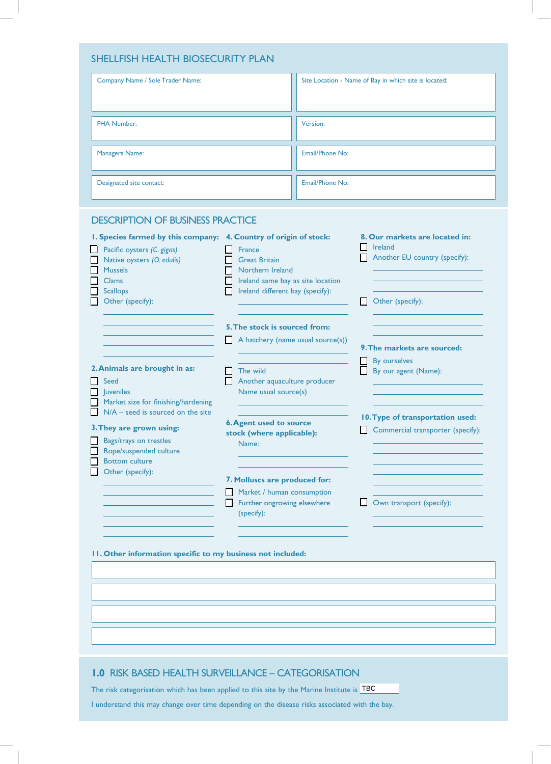| SHELLFISH HEALTH BIOSECURITY PLAN |                                                       |  |  |  |
|-----------------------------------|-------------------------------------------------------|--|--|--|
| Company Name / Sole Trader Name:  | Site Location - Name of Bay in which site is located: |  |  |  |
| <b>FHA Number:</b>                | Version:                                              |  |  |  |
| <b>Managers Name:</b>             | Email/Phone No:                                       |  |  |  |
| Designated site contact:          | Email/Phone No:                                       |  |  |  |

|                                                                                                                                                                                                                                                                                                                                                                                                                                                                                                                                                                                                                           |                                          | Site Location - Name of Bay in which site is located:                                                                                                                                                                                                                                                                                                            |
|---------------------------------------------------------------------------------------------------------------------------------------------------------------------------------------------------------------------------------------------------------------------------------------------------------------------------------------------------------------------------------------------------------------------------------------------------------------------------------------------------------------------------------------------------------------------------------------------------------------------------|------------------------------------------|------------------------------------------------------------------------------------------------------------------------------------------------------------------------------------------------------------------------------------------------------------------------------------------------------------------------------------------------------------------|
|                                                                                                                                                                                                                                                                                                                                                                                                                                                                                                                                                                                                                           | Version:                                 |                                                                                                                                                                                                                                                                                                                                                                  |
|                                                                                                                                                                                                                                                                                                                                                                                                                                                                                                                                                                                                                           | Email/Phone No:                          |                                                                                                                                                                                                                                                                                                                                                                  |
|                                                                                                                                                                                                                                                                                                                                                                                                                                                                                                                                                                                                                           | Email/Phone No:                          |                                                                                                                                                                                                                                                                                                                                                                  |
| <b>DESCRIPTION OF BUSINESS PRACTICE</b><br>I. Species farmed by this company: 4. Country of origin of stock:<br>Pacific oysters (C. gigas)<br>France<br>Native oysters (O. edulis)<br><b>Great Britain</b><br><b>Mussels</b><br>Northern Ireland<br><b>Clams</b><br><b>Scallops</b><br>Other (specify):<br>2. Animals are brought in as:<br>$\Box$ The wild<br>Seed<br>$\Box$  uveniles<br>Market size for finishing/hardening<br>$N/A$ – seed is sourced on the site<br>3. They are grown using:<br>Bags/trays on trestles<br>Name:<br>Rope/suspended culture<br><b>Bottom culture</b><br>Other (specify):<br>(specify): |                                          | 8. Our markets are located in:<br>I Ireland<br>Another EU country (specify):<br>Other (specify):<br>1 I<br>9. The markets are sourced:<br>By ourselves<br>By our agent (Name):<br>10. Type of transportation used:<br>Commercial transporter (specify):<br>Own transport (specify):                                                                              |
|                                                                                                                                                                                                                                                                                                                                                                                                                                                                                                                                                                                                                           | <b>SHELLFISH HEALTH BIOSECURITY PLAN</b> | Ireland same bay as site location<br>Ireland different bay (specify):<br>5. The stock is sourced from:<br>A hatchery (name usual source(s))<br>Another aquaculture producer<br>Name usual source(s)<br><b>6. Agent used to source</b><br>stock (where applicable):<br>7. Molluscs are produced for:<br>Market / human consumption<br>Further ongrowing elsewhere |

# **1.0** RISK BASED HEALTH SURVEILLANCE – CATEGORISATION

The risk categorisation which has been applied to this site by the Marine Institute is  $\overline{\text{TBC}}$ 

I understand this may change over time depending on the disease risks associated with the bay.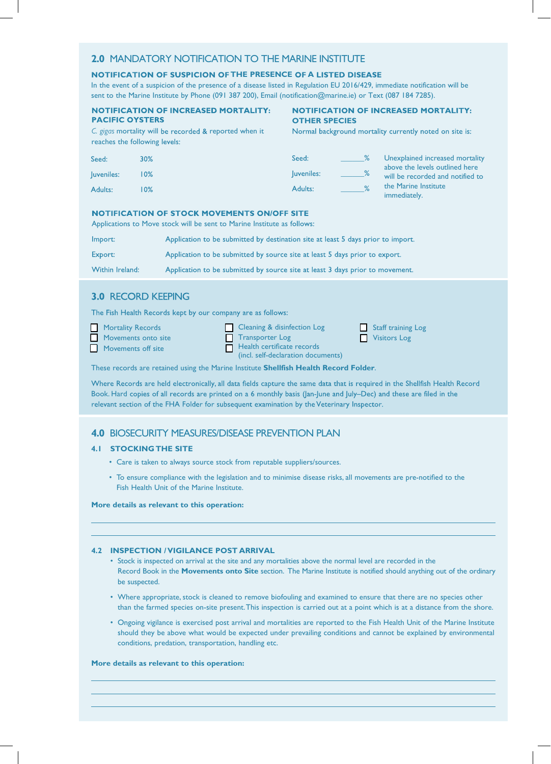# **2.0** MANDATORY NOTIFICATION TO THE MARINE INSTITUTE **2.0** MANDATORY NOTIFICATION TO THE MARINE INSTITUTE

## **THE PRESENCE OF A LISTED DISEASE**

In the event of a suspicion of the presence of a disease listed in Regulation EU 2016/429, immediate notification will be sent to the Marine Institute by Phone (091 387 200), Email (notification@marine.ie) or Text (087 184 7285).

#### **NOTIFICATION OF INCREASED MORTALITY: PACIFIC OYSTERS**

### **NOTIFICATION OF INCREASED MORTALITY: OTHER SPECIES**

*C. gigas* mortality will be recorded & reported when it reaches the following

Normal background mortality currently noted on site is:

| Seed:      | 30% | Seed:      | Unexplained increased mortality                                    |
|------------|-----|------------|--------------------------------------------------------------------|
| Juveniles: | 10% | luveniles: | above the levels outlined here<br>will be recorded and notified to |
| Adults:    | 10% | Adults:    | the Marine Institute<br>immediately.                               |

### **NOTIFICATION OF STOCK MOVEMENTS ON/OFF SITE**

Applications to Move stock will be sent to Marine Institute as Applications to Move stock will be sent to Marine Institute as

| Import:         | Application to be submitted by destination site at least 5 days prior to import. |
|-----------------|----------------------------------------------------------------------------------|
| Export:         | Application to be submitted by source site at least 5 days prior to export.      |
| Within Ireland: | Application to be submitted by source site at least 3 days prior to movement.    |

## **3.0 RECORD KEEPING**

The Fish Health Records kept by our company are as follows:

| <b>Mortality Records</b>  | <b>Cleaning &amp; disinfection Log</b> | Staff training Log    |
|---------------------------|----------------------------------------|-----------------------|
| Movements onto site       | <b>Transporter Log</b>                 | <b>N</b> Visitors Log |
| <b>Movements off site</b> | $\Box$ Health certificate records      |                       |
|                           | (incl. self-declaration documents)     |                       |

These records are retained using the Marine Institute **Shellfish Health Record Folder**. These records are retained using the Marine Institute .

Where Records are held electronically, all data fields capture the same data that is required in the Shellfish Health Record Book. Hard copies of all records are printed on a 6 m relevant section of the FHA Folder for subsequent examination by the Veterinary Inspector.

# **4.0** BIOSECURITY MEASURES/DISEASE PREVENTION PLAN **4.0** BIOSECURITY MEASURES/DISEASE PREVENTION PLAN

## **4.1 STOCKING THE SITE**

- Care is taken to always source stock from reputable suppliers/sources. Care is taken to always source stock from reputable suppliers.
- To ensure compliance with the legislation and to minimise disease risks, all movements are pre-notified to the  $\,$ Fish Health Unit of the Marine Institute.

#### **More details as relevant to this operation: More details as relevant to this operation:**

### **4.2 INSPECTION / VIGILANCE POST ARRIVAL 4.2 INSPECTION / VIGILANCE POST ARRIVAL**

- Stock is inspected on arrival at the site and any mortalities above the normal level are recorded in the Stock is inspected on arrival at the site and any mortalities above the normal level are recorded Record Book in the **Movements onto Site** section. The Marine Institute is notified should anything out of the ordinary be suspected.
- Where appropriate, stock is cleaned to remove biofouling and examined to ensure that there are no species other than the farmed species on-site present. This inspection is carried out at a point which is at a distance from the shore. than the farmed species on-site present. This inspection is carried out at a point which is
- Ongoing vigilance is exercised post arrival and mortalities are reported to the Fish Health Unit of the Marine Institute Ongoing vigilance is exercised post arrival and mortalities are reported to the Fish Health should they be above what would be expected under prevailing conditions and cannot be explained by environmental should they be above what would be expected under prevailing conditions and cannot be conditions, predation, transportation, handling etc. conditions, predation, transportation, handling etc.

#### **More details as relevant to this operation: More details as relevant to this operation:**